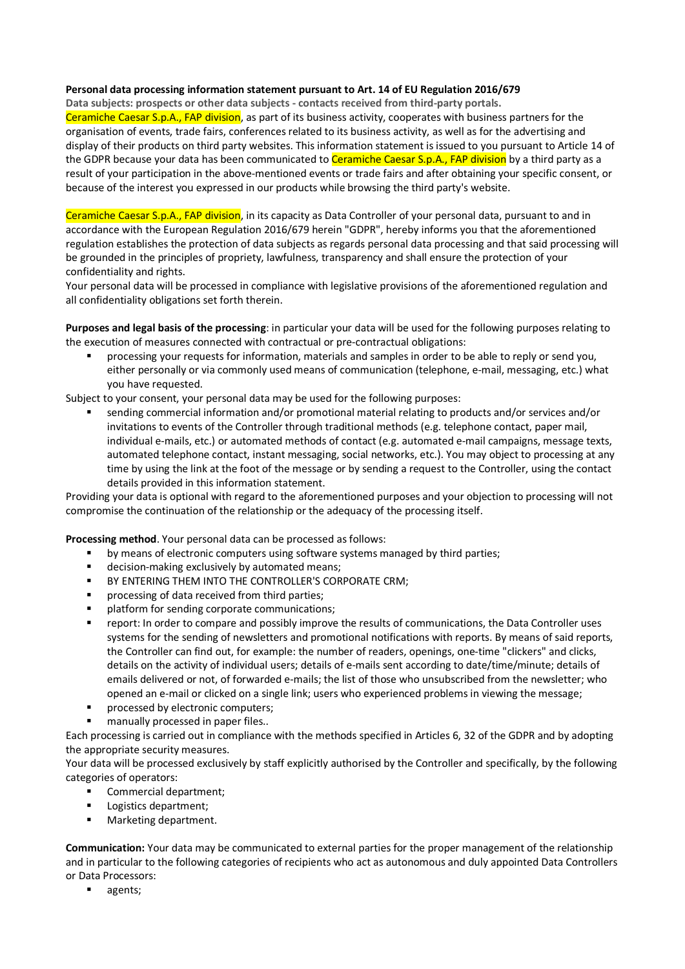## **Personal data processing information statement pursuant to Art. 14 of EU Regulation 2016/679**

**Data subjects: prospects or other data subjects - contacts received from third-party portals.**

Ceramiche Caesar S.p.A., FAP division, as part of its business activity, cooperates with business partners for the organisation of events, trade fairs, conferences related to its business activity, as well as for the advertising and display of their products on third party websites. This information statement is issued to you pursuant to Article 14 of the GDPR because your data has been communicated to Ceramiche Caesar S.p.A., FAP division by a third party as a result of your participation in the above-mentioned events or trade fairs and after obtaining your specific consent, or because of the interest you expressed in our products while browsing the third party's website.

Ceramiche Caesar S.p.A., FAP division, in its capacity as Data Controller of your personal data, pursuant to and in accordance with the European Regulation 2016/679 herein "GDPR", hereby informs you that the aforementioned regulation establishes the protection of data subjects as regards personal data processing and that said processing will be grounded in the principles of propriety, lawfulness, transparency and shall ensure the protection of your confidentiality and rights.

Your personal data will be processed in compliance with legislative provisions of the aforementioned regulation and all confidentiality obligations set forth therein.

**Purposes and legal basis of the processing**: in particular your data will be used for the following purposes relating to the execution of measures connected with contractual or pre-contractual obligations:

processing your requests for information, materials and samples in order to be able to reply or send you, either personally or via commonly used means of communication (telephone, e-mail, messaging, etc.) what you have requested.

Subject to your consent, your personal data may be used for the following purposes:

§ sending commercial information and/or promotional material relating to products and/or services and/or invitations to events of the Controller through traditional methods (e.g. telephone contact, paper mail, individual e-mails, etc.) or automated methods of contact (e.g. automated e-mail campaigns, message texts, automated telephone contact, instant messaging, social networks, etc.). You may object to processing at any time by using the link at the foot of the message or by sending a request to the Controller, using the contact details provided in this information statement.

Providing your data is optional with regard to the aforementioned purposes and your objection to processing will not compromise the continuation of the relationship or the adequacy of the processing itself.

**Processing method**. Your personal data can be processed as follows:

- § by means of electronic computers using software systems managed by third parties;
- decision-making exclusively by automated means;
- **BY ENTERING THEM INTO THE CONTROLLER'S CORPORATE CRM;**
- processing of data received from third parties;
- **•** platform for sending corporate communications;
- § report: In order to compare and possibly improve the results of communications, the Data Controller uses systems for the sending of newsletters and promotional notifications with reports. By means of said reports, the Controller can find out, for example: the number of readers, openings, one-time "clickers" and clicks, details on the activity of individual users; details of e-mails sent according to date/time/minute; details of emails delivered or not, of forwarded e-mails; the list of those who unsubscribed from the newsletter; who opened an e-mail or clicked on a single link; users who experienced problems in viewing the message;
- processed by electronic computers:
- manually processed in paper files..

Each processing is carried out in compliance with the methods specified in Articles 6, 32 of the GDPR and by adopting the appropriate security measures.

Your data will be processed exclusively by staff explicitly authorised by the Controller and specifically, by the following categories of operators:

- Commercial department;
- Logistics department;
- Marketing department.

**Communication:** Your data may be communicated to external parties for the proper management of the relationship and in particular to the following categories of recipients who act as autonomous and duly appointed Data Controllers or Data Processors:

agents;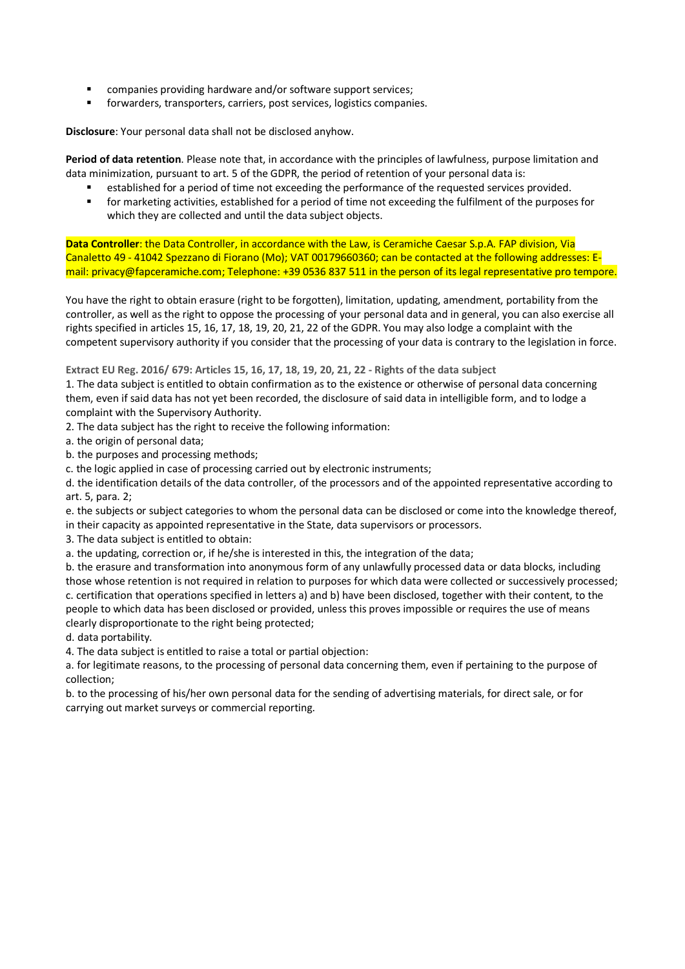- § companies providing hardware and/or software support services;
- forwarders, transporters, carriers, post services, logistics companies.

**Disclosure**: Your personal data shall not be disclosed anyhow.

**Period of data retention**. Please note that, in accordance with the principles of lawfulness, purpose limitation and data minimization, pursuant to art. 5 of the GDPR, the period of retention of your personal data is:

- established for a period of time not exceeding the performance of the requested services provided.
- § for marketing activities, established for a period of time not exceeding the fulfilment of the purposes for which they are collected and until the data subject objects.

**Data Controller**: the Data Controller, in accordance with the Law, is Ceramiche Caesar S.p.A. FAP division, Via Canaletto 49 - 41042 Spezzano di Fiorano (Mo); VAT 00179660360; can be contacted at the following addresses: Email: privacy@fapceramiche.com; Telephone: +39 0536 837 511 in the person of its legal representative pro tempore.

You have the right to obtain erasure (right to be forgotten), limitation, updating, amendment, portability from the controller, as well as the right to oppose the processing of your personal data and in general, you can also exercise all rights specified in articles 15, 16, 17, 18, 19, 20, 21, 22 of the GDPR. You may also lodge a complaint with the competent supervisory authority if you consider that the processing of your data is contrary to the legislation in force.

**Extract EU Reg. 2016/ 679: Articles 15, 16, 17, 18, 19, 20, 21, 22 - Rights of the data subject**

1. The data subject is entitled to obtain confirmation as to the existence or otherwise of personal data concerning them, even if said data has not yet been recorded, the disclosure of said data in intelligible form, and to lodge a complaint with the Supervisory Authority.

2. The data subject has the right to receive the following information:

a. the origin of personal data;

b. the purposes and processing methods;

c. the logic applied in case of processing carried out by electronic instruments;

d. the identification details of the data controller, of the processors and of the appointed representative according to art. 5, para. 2;

e. the subjects or subject categories to whom the personal data can be disclosed or come into the knowledge thereof, in their capacity as appointed representative in the State, data supervisors or processors.

3. The data subject is entitled to obtain:

a. the updating, correction or, if he/she is interested in this, the integration of the data;

b. the erasure and transformation into anonymous form of any unlawfully processed data or data blocks, including those whose retention is not required in relation to purposes for which data were collected or successively processed; c. certification that operations specified in letters a) and b) have been disclosed, together with their content, to the people to which data has been disclosed or provided, unless this proves impossible or requires the use of means clearly disproportionate to the right being protected;

d. data portability.

4. The data subject is entitled to raise a total or partial objection:

a. for legitimate reasons, to the processing of personal data concerning them, even if pertaining to the purpose of collection;

b. to the processing of his/her own personal data for the sending of advertising materials, for direct sale, or for carrying out market surveys or commercial reporting.